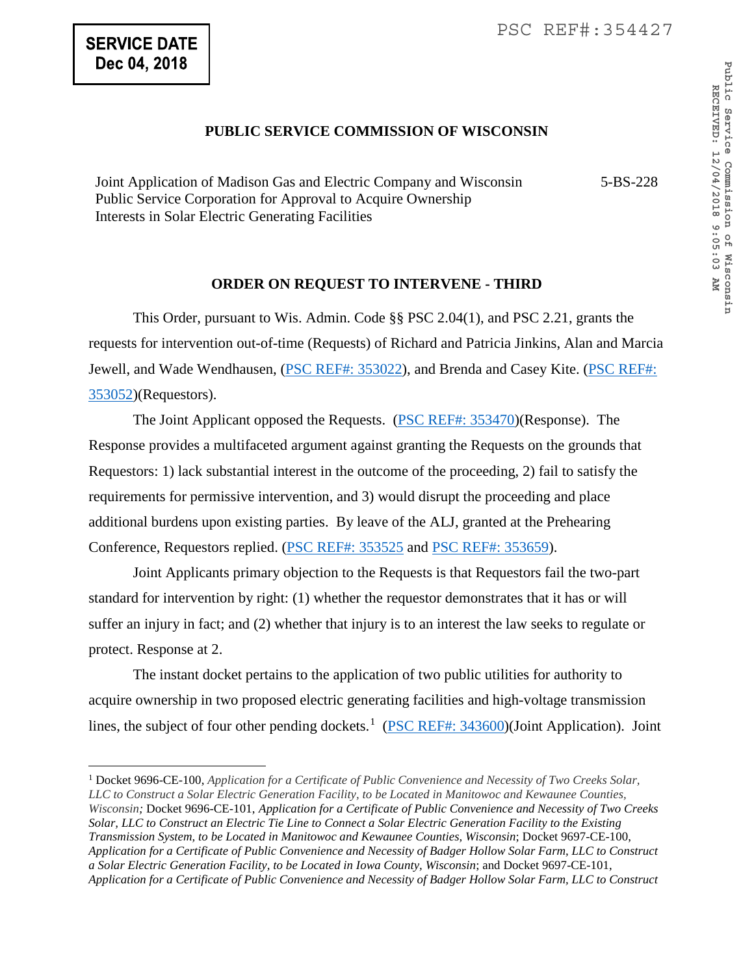## PSC REF#:354427

 $\overline{a}$ 

# Public Service Commission of Wisconsin<br>RECEIVED: 12/04/2018 9:05:03 AM **Public Service Commission of Wisconsin RECEIVED: 12/04/2018 9:05:03 AM**

# **PUBLIC SERVICE COMMISSION OF WISCONSIN**

Joint Application of Madison Gas and Electric Company and Wisconsin Public Service Corporation for Approval to Acquire Ownership Interests in Solar Electric Generating Facilities 5-BS-228

# **ORDER ON REQUEST TO INTERVENE - THIRD**

 This Order, pursuant to Wis. Admin. Code §§ PSC 2.04(1), and PSC 2.21, grants the requests for intervention out-of-time (Requests) of Richard and Patricia Jinkins, Alan and Marcia Jewell, and Wade Wendhausen, [\(PSC REF#: 353022\)](http://apps.psc.wi.gov/pages/viewdoc.htm?docid=%20353022), and Brenda and Casey Kite. [\(PSC REF#:](http://apps.psc.wi.gov/pages/viewdoc.htm?docid=%20353052)  [353052\)](http://apps.psc.wi.gov/pages/viewdoc.htm?docid=%20353052)(Requestors).

The Joint Applicant opposed the Requests. [\(PSC REF#: 353470\)](http://apps.psc.wi.gov/pages/viewdoc.htm?docid=%20353470)(Response). The Response provides a multifaceted argument against granting the Requests on the grounds that Requestors: 1) lack substantial interest in the outcome of the proceeding, 2) fail to satisfy the requirements for permissive intervention, and 3) would disrupt the proceeding and place additional burdens upon existing parties. By leave of the ALJ, granted at the Prehearing Conference, Requestors replied. [\(PSC REF#: 353525](http://apps.psc.wi.gov/pages/viewdoc.htm?docid=%20353525) and [PSC REF#: 353659\)](http://apps.psc.wi.gov/pages/viewdoc.htm?docid=%20353659).

Joint Applicants primary objection to the Requests is that Requestors fail the two-part standard for intervention by right: (1) whether the requestor demonstrates that it has or will suffer an injury in fact; and (2) whether that injury is to an interest the law seeks to regulate or protect. Response at 2.

 The instant docket pertains to the application of two public utilities for authority to acquire ownership in two proposed electric generating facilities and high-voltage transmission lines, the subject of four other pending dockets.<sup>[1](#page-0-0)</sup> (*PSC REF#: 343600*)(Joint Application). Joint

<span id="page-0-0"></span><sup>1</sup> Docket 9696-CE-100, *Application for a Certificate of Public Convenience and Necessity of Two Creeks Solar, LLC to Construct a Solar Electric Generation Facility, to be Located in Manitowoc and Kewaunee Counties, Wisconsin;* Docket 9696-CE-101, *Application for a Certificate of Public Convenience and Necessity of Two Creeks Solar, LLC to Construct an Electric Tie Line to Connect a Solar Electric Generation Facility to the Existing Transmission System, to be Located in Manitowoc and Kewaunee Counties, Wisconsin*; Docket 9697-CE-100, *Application for a Certificate of Public Convenience and Necessity of Badger Hollow Solar Farm, LLC to Construct a Solar Electric Generation Facility, to be Located in Iowa County, Wisconsin*; and Docket 9697-CE-101, *Application for a Certificate of Public Convenience and Necessity of Badger Hollow Solar Farm, LLC to Construct*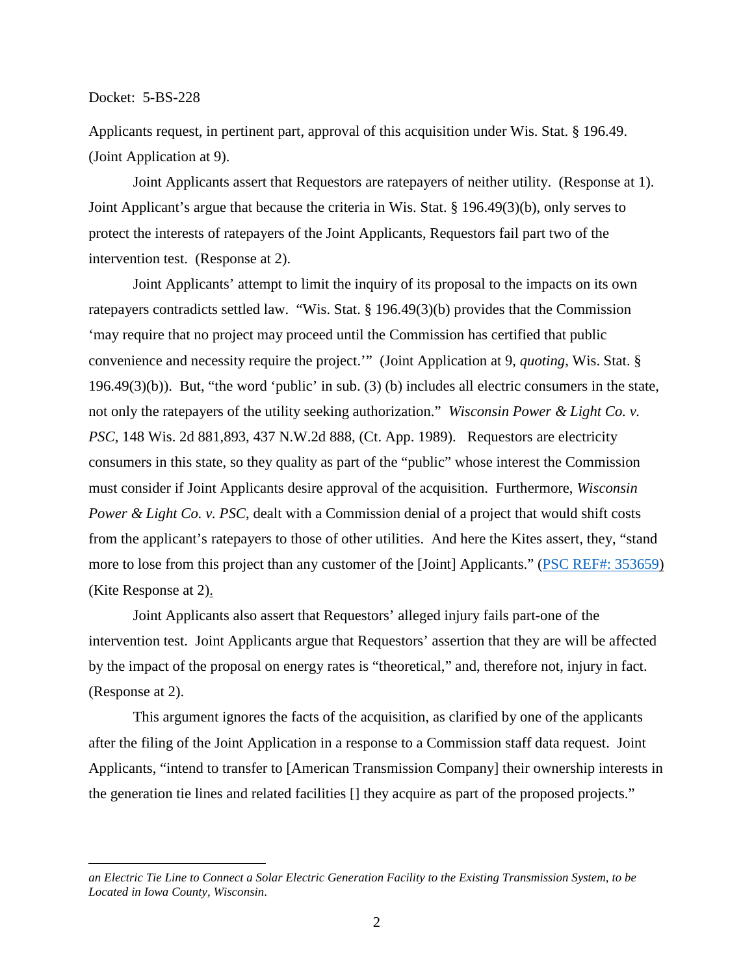### Docket: 5-BS-228

 $\overline{a}$ 

Applicants request, in pertinent part, approval of this acquisition under Wis. Stat. § 196.49. (Joint Application at 9).

Joint Applicants assert that Requestors are ratepayers of neither utility. (Response at 1). Joint Applicant's argue that because the criteria in Wis. Stat. § 196.49(3)(b), only serves to protect the interests of ratepayers of the Joint Applicants, Requestors fail part two of the intervention test. (Response at 2).

Joint Applicants' attempt to limit the inquiry of its proposal to the impacts on its own ratepayers contradicts settled law. "Wis. Stat. § 196.49(3)(b) provides that the Commission 'may require that no project may proceed until the Commission has certified that public convenience and necessity require the project.'" (Joint Application at 9, *quoting*, Wis. Stat. § 196.49(3)(b)). But, "the word 'public' in sub. (3) (b) includes all electric consumers in the state, not only the ratepayers of the utility seeking authorization." *Wisconsin Power & Light Co. v. PSC,* 148 Wis. 2d 881,893, 437 N.W.2d 888, (Ct. App. 1989). Requestors are electricity consumers in this state, so they quality as part of the "public" whose interest the Commission must consider if Joint Applicants desire approval of the acquisition. Furthermore, *Wisconsin Power & Light Co. v. PSC*, dealt with a Commission denial of a project that would shift costs from the applicant's ratepayers to those of other utilities. And here the Kites assert, they, "stand more to lose from this project than any customer of the [Joint] Applicants." [\(PSC REF#: 353659\)](http://apps.psc.wi.gov/pages/viewdoc.htm?docid=%20353659) (Kite Response at 2).

Joint Applicants also assert that Requestors' alleged injury fails part-one of the intervention test. Joint Applicants argue that Requestors' assertion that they are will be affected by the impact of the proposal on energy rates is "theoretical," and, therefore not, injury in fact. (Response at 2).

This argument ignores the facts of the acquisition, as clarified by one of the applicants after the filing of the Joint Application in a response to a Commission staff data request. Joint Applicants, "intend to transfer to [American Transmission Company] their ownership interests in the generation tie lines and related facilities [] they acquire as part of the proposed projects."

*an Electric Tie Line to Connect a Solar Electric Generation Facility to the Existing Transmission System, to be Located in Iowa County, Wisconsin*.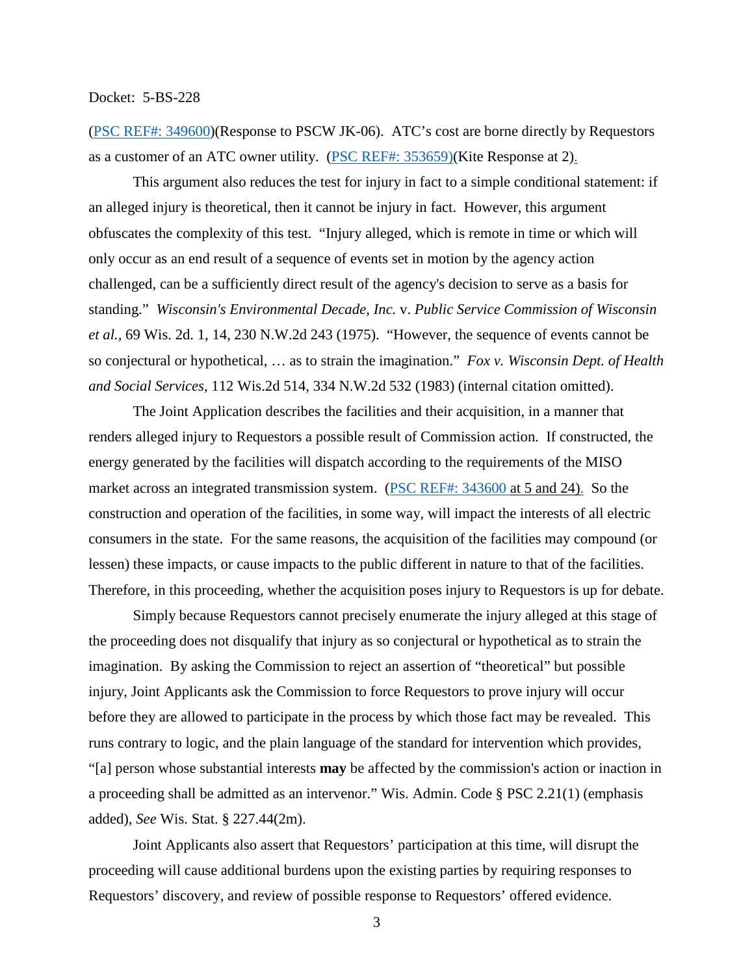### Docket: 5-BS-228

[\(PSC REF#: 349600\)](http://apps.psc.wi.gov/pages/viewdoc.htm?docid=%20349600)(Response to PSCW JK-06). ATC's cost are borne directly by Requestors as a customer of an ATC owner utility. [\(PSC REF#: 353659\)](http://apps.psc.wi.gov/pages/viewdoc.htm?docid=%20353659)(Kite Response at 2).

This argument also reduces the test for injury in fact to a simple conditional statement: if an alleged injury is theoretical, then it cannot be injury in fact. However, this argument obfuscates the complexity of this test. "Injury alleged, which is remote in time or which will only occur as an end result of a sequence of events set in motion by the agency action challenged, can be a sufficiently direct result of the agency's decision to serve as a basis for standing." *Wisconsin's Environmental Decade, Inc.* v. *Public Service Commission of Wisconsin et al.,* 69 Wis. 2d. 1, 14, 230 N.W.2d 243 (1975). "However, the sequence of events cannot be so conjectural or hypothetical, … as to strain the imagination." *Fox v. Wisconsin Dept. of Health and Social Services,* 112 Wis.2d 514, 334 N.W.2d 532 (1983) (internal citation omitted).

The Joint Application describes the facilities and their acquisition, in a manner that renders alleged injury to Requestors a possible result of Commission action. If constructed, the energy generated by the facilities will dispatch according to the requirements of the MISO market across an integrated transmission system. [\(PSC REF#: 343600](http://apps.psc.wi.gov/pages/viewdoc.htm?docid=%20343600) at 5 and 24). So the construction and operation of the facilities, in some way, will impact the interests of all electric consumers in the state. For the same reasons, the acquisition of the facilities may compound (or lessen) these impacts, or cause impacts to the public different in nature to that of the facilities. Therefore, in this proceeding, whether the acquisition poses injury to Requestors is up for debate.

Simply because Requestors cannot precisely enumerate the injury alleged at this stage of the proceeding does not disqualify that injury as so conjectural or hypothetical as to strain the imagination. By asking the Commission to reject an assertion of "theoretical" but possible injury, Joint Applicants ask the Commission to force Requestors to prove injury will occur before they are allowed to participate in the process by which those fact may be revealed. This runs contrary to logic, and the plain language of the standard for intervention which provides, "[a] person whose substantial interests **may** be affected by the commission's action or inaction in a proceeding shall be admitted as an intervenor." Wis. Admin. Code § PSC 2.21(1) (emphasis added), *See* Wis. Stat. § 227.44(2m).

Joint Applicants also assert that Requestors' participation at this time, will disrupt the proceeding will cause additional burdens upon the existing parties by requiring responses to Requestors' discovery, and review of possible response to Requestors' offered evidence.

3